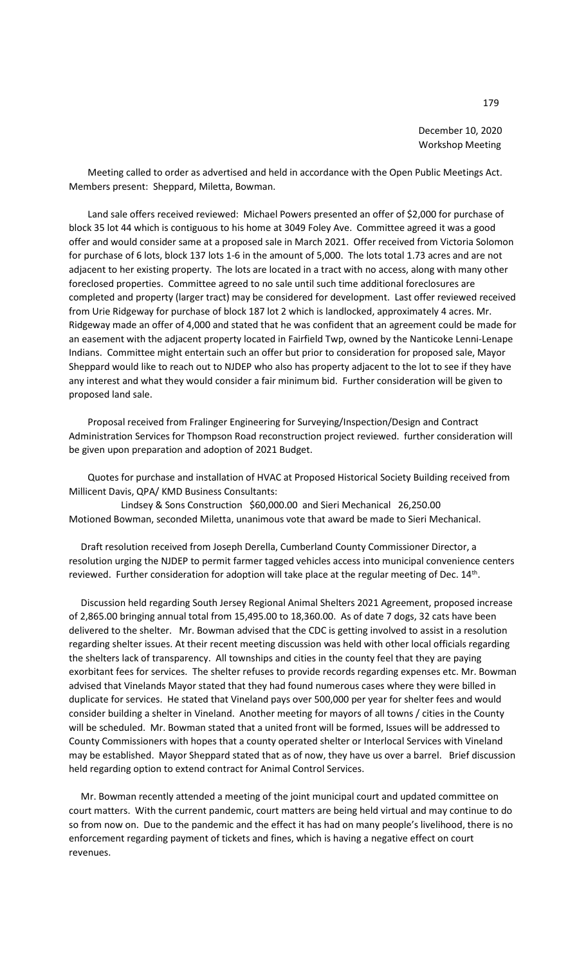December 10, 2020 Workshop Meeting

 Meeting called to order as advertised and held in accordance with the Open Public Meetings Act. Members present: Sheppard, Miletta, Bowman.

 Land sale offers received reviewed: Michael Powers presented an offer of \$2,000 for purchase of block 35 lot 44 which is contiguous to his home at 3049 Foley Ave. Committee agreed it was a good offer and would consider same at a proposed sale in March 2021. Offer received from Victoria Solomon for purchase of 6 lots, block 137 lots 1-6 in the amount of 5,000. The lots total 1.73 acres and are not adjacent to her existing property. The lots are located in a tract with no access, along with many other foreclosed properties. Committee agreed to no sale until such time additional foreclosures are completed and property (larger tract) may be considered for development. Last offer reviewed received from Urie Ridgeway for purchase of block 187 lot 2 which is landlocked, approximately 4 acres. Mr. Ridgeway made an offer of 4,000 and stated that he was confident that an agreement could be made for an easement with the adjacent property located in Fairfield Twp, owned by the Nanticoke Lenni-Lenape Indians. Committee might entertain such an offer but prior to consideration for proposed sale, Mayor Sheppard would like to reach out to NJDEP who also has property adjacent to the lot to see if they have any interest and what they would consider a fair minimum bid. Further consideration will be given to proposed land sale.

 Proposal received from Fralinger Engineering for Surveying/Inspection/Design and Contract Administration Services for Thompson Road reconstruction project reviewed. further consideration will be given upon preparation and adoption of 2021 Budget.

 Quotes for purchase and installation of HVAC at Proposed Historical Society Building received from Millicent Davis, QPA/ KMD Business Consultants:

 Lindsey & Sons Construction \$60,000.00 and Sieri Mechanical 26,250.00 Motioned Bowman, seconded Miletta, unanimous vote that award be made to Sieri Mechanical.

 Draft resolution received from Joseph Derella, Cumberland County Commissioner Director, a resolution urging the NJDEP to permit farmer tagged vehicles access into municipal convenience centers reviewed. Further consideration for adoption will take place at the regular meeting of Dec. 14<sup>th</sup>.

 Discussion held regarding South Jersey Regional Animal Shelters 2021 Agreement, proposed increase of 2,865.00 bringing annual total from 15,495.00 to 18,360.00. As of date 7 dogs, 32 cats have been delivered to the shelter. Mr. Bowman advised that the CDC is getting involved to assist in a resolution regarding shelter issues. At their recent meeting discussion was held with other local officials regarding the shelters lack of transparency. All townships and cities in the county feel that they are paying exorbitant fees for services. The shelter refuses to provide records regarding expenses etc. Mr. Bowman advised that Vinelands Mayor stated that they had found numerous cases where they were billed in duplicate for services. He stated that Vineland pays over 500,000 per year for shelter fees and would consider building a shelter in Vineland. Another meeting for mayors of all towns / cities in the County will be scheduled. Mr. Bowman stated that a united front will be formed, Issues will be addressed to County Commissioners with hopes that a county operated shelter or Interlocal Services with Vineland may be established. Mayor Sheppard stated that as of now, they have us over a barrel. Brief discussion held regarding option to extend contract for Animal Control Services.

 Mr. Bowman recently attended a meeting of the joint municipal court and updated committee on court matters. With the current pandemic, court matters are being held virtual and may continue to do so from now on. Due to the pandemic and the effect it has had on many people's livelihood, there is no enforcement regarding payment of tickets and fines, which is having a negative effect on court revenues.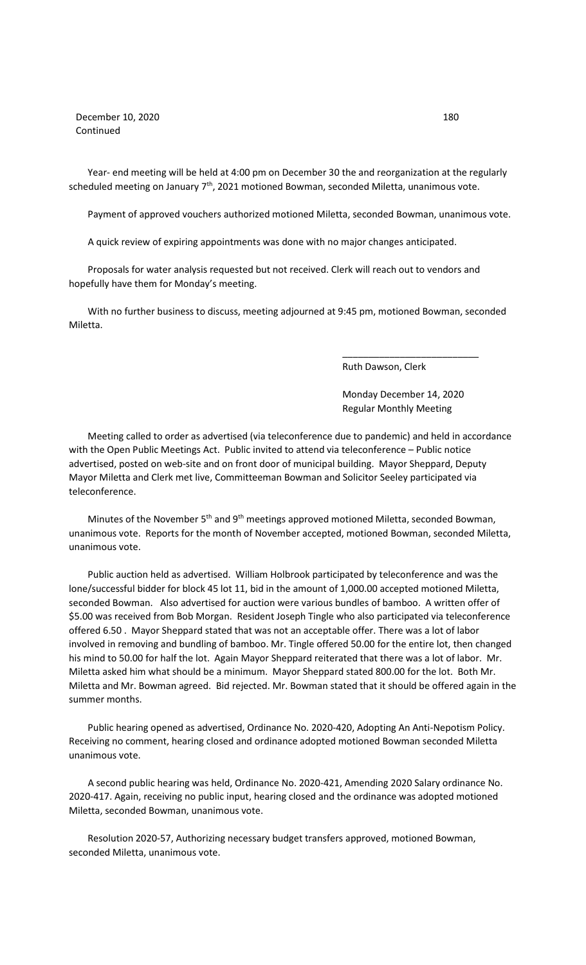December 10, 2020 180 Continued

 Year- end meeting will be held at 4:00 pm on December 30 the and reorganization at the regularly scheduled meeting on January  $7<sup>th</sup>$ , 2021 motioned Bowman, seconded Miletta, unanimous vote.

Payment of approved vouchers authorized motioned Miletta, seconded Bowman, unanimous vote.

A quick review of expiring appointments was done with no major changes anticipated.

 Proposals for water analysis requested but not received. Clerk will reach out to vendors and hopefully have them for Monday's meeting.

 With no further business to discuss, meeting adjourned at 9:45 pm, motioned Bowman, seconded Miletta.

 $\overline{\phantom{a}}$  , and the contract of the contract of the contract of the contract of the contract of the contract of the contract of the contract of the contract of the contract of the contract of the contract of the contrac

Ruth Dawson, Clerk

 Monday December 14, 2020 Regular Monthly Meeting

 Meeting called to order as advertised (via teleconference due to pandemic) and held in accordance with the Open Public Meetings Act. Public invited to attend via teleconference – Public notice advertised, posted on web-site and on front door of municipal building. Mayor Sheppard, Deputy Mayor Miletta and Clerk met live, Committeeman Bowman and Solicitor Seeley participated via teleconference.

Minutes of the November 5<sup>th</sup> and 9<sup>th</sup> meetings approved motioned Miletta, seconded Bowman, unanimous vote. Reports for the month of November accepted, motioned Bowman, seconded Miletta, unanimous vote.

 Public auction held as advertised. William Holbrook participated by teleconference and was the lone/successful bidder for block 45 lot 11, bid in the amount of 1,000.00 accepted motioned Miletta, seconded Bowman. Also advertised for auction were various bundles of bamboo. A written offer of \$5.00 was received from Bob Morgan. Resident Joseph Tingle who also participated via teleconference offered 6.50 . Mayor Sheppard stated that was not an acceptable offer. There was a lot of labor involved in removing and bundling of bamboo. Mr. Tingle offered 50.00 for the entire lot, then changed his mind to 50.00 for half the lot. Again Mayor Sheppard reiterated that there was a lot of labor. Mr. Miletta asked him what should be a minimum. Mayor Sheppard stated 800.00 for the lot. Both Mr. Miletta and Mr. Bowman agreed. Bid rejected. Mr. Bowman stated that it should be offered again in the summer months.

 Public hearing opened as advertised, Ordinance No. 2020-420, Adopting An Anti-Nepotism Policy. Receiving no comment, hearing closed and ordinance adopted motioned Bowman seconded Miletta unanimous vote.

 A second public hearing was held, Ordinance No. 2020-421, Amending 2020 Salary ordinance No. 2020-417. Again, receiving no public input, hearing closed and the ordinance was adopted motioned Miletta, seconded Bowman, unanimous vote.

 Resolution 2020-57, Authorizing necessary budget transfers approved, motioned Bowman, seconded Miletta, unanimous vote.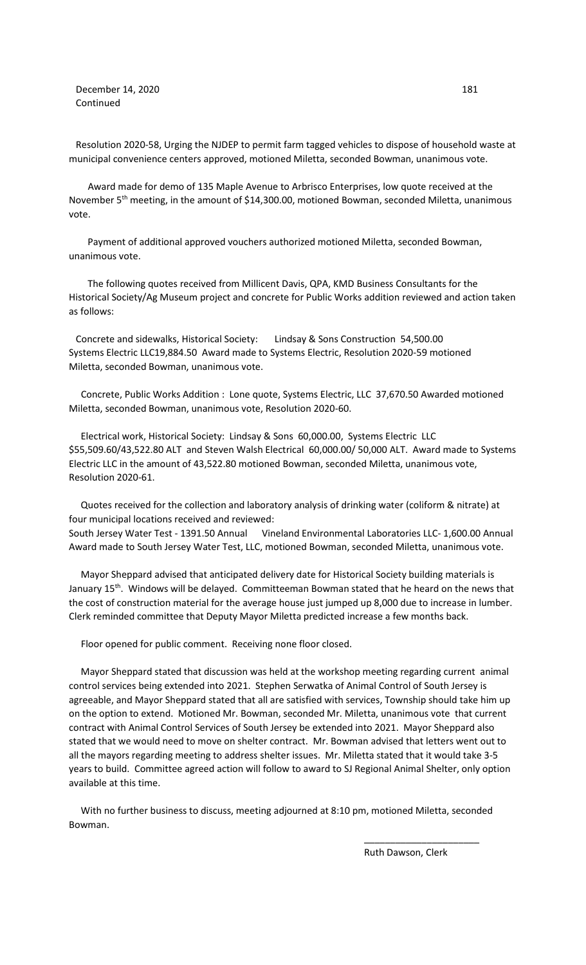**December 14, 2020** 181 Continued

Resolution 2020-58, Urging the NJDEP to permit farm tagged vehicles to dispose of household waste at municipal convenience centers approved, motioned Miletta, seconded Bowman, unanimous vote.

 Award made for demo of 135 Maple Avenue to Arbrisco Enterprises, low quote received at the November  $5<sup>th</sup>$  meeting, in the amount of \$14,300.00, motioned Bowman, seconded Miletta, unanimous vote.

 Payment of additional approved vouchers authorized motioned Miletta, seconded Bowman, unanimous vote.

 The following quotes received from Millicent Davis, QPA, KMD Business Consultants for the Historical Society/Ag Museum project and concrete for Public Works addition reviewed and action taken as follows:

Concrete and sidewalks, Historical Society: Lindsay & Sons Construction 54,500.00 Systems Electric LLC19,884.50 Award made to Systems Electric, Resolution 2020-59 motioned Miletta, seconded Bowman, unanimous vote.

 Concrete, Public Works Addition : Lone quote, Systems Electric, LLC 37,670.50 Awarded motioned Miletta, seconded Bowman, unanimous vote, Resolution 2020-60.

 Electrical work, Historical Society: Lindsay & Sons 60,000.00, Systems Electric LLC \$55,509.60/43,522.80 ALT and Steven Walsh Electrical 60,000.00/ 50,000 ALT. Award made to Systems Electric LLC in the amount of 43,522.80 motioned Bowman, seconded Miletta, unanimous vote, Resolution 2020-61.

 Quotes received for the collection and laboratory analysis of drinking water (coliform & nitrate) at four municipal locations received and reviewed: South Jersey Water Test - 1391.50 Annual Vineland Environmental Laboratories LLC- 1,600.00 Annual Award made to South Jersey Water Test, LLC, motioned Bowman, seconded Miletta, unanimous vote.

 Mayor Sheppard advised that anticipated delivery date for Historical Society building materials is January 15<sup>th</sup>. Windows will be delayed. Committeeman Bowman stated that he heard on the news that the cost of construction material for the average house just jumped up 8,000 due to increase in lumber. Clerk reminded committee that Deputy Mayor Miletta predicted increase a few months back.

Floor opened for public comment. Receiving none floor closed.

 Mayor Sheppard stated that discussion was held at the workshop meeting regarding current animal control services being extended into 2021. Stephen Serwatka of Animal Control of South Jersey is agreeable, and Mayor Sheppard stated that all are satisfied with services, Township should take him up on the option to extend. Motioned Mr. Bowman, seconded Mr. Miletta, unanimous vote that current contract with Animal Control Services of South Jersey be extended into 2021. Mayor Sheppard also stated that we would need to move on shelter contract. Mr. Bowman advised that letters went out to all the mayors regarding meeting to address shelter issues. Mr. Miletta stated that it would take 3-5 years to build. Committee agreed action will follow to award to SJ Regional Animal Shelter, only option available at this time.

 With no further business to discuss, meeting adjourned at 8:10 pm, motioned Miletta, seconded Bowman.

 $\overline{\phantom{a}}$  , and the contract of the contract of the contract of the contract of the contract of the contract of the contract of the contract of the contract of the contract of the contract of the contract of the contrac

Ruth Dawson, Clerk